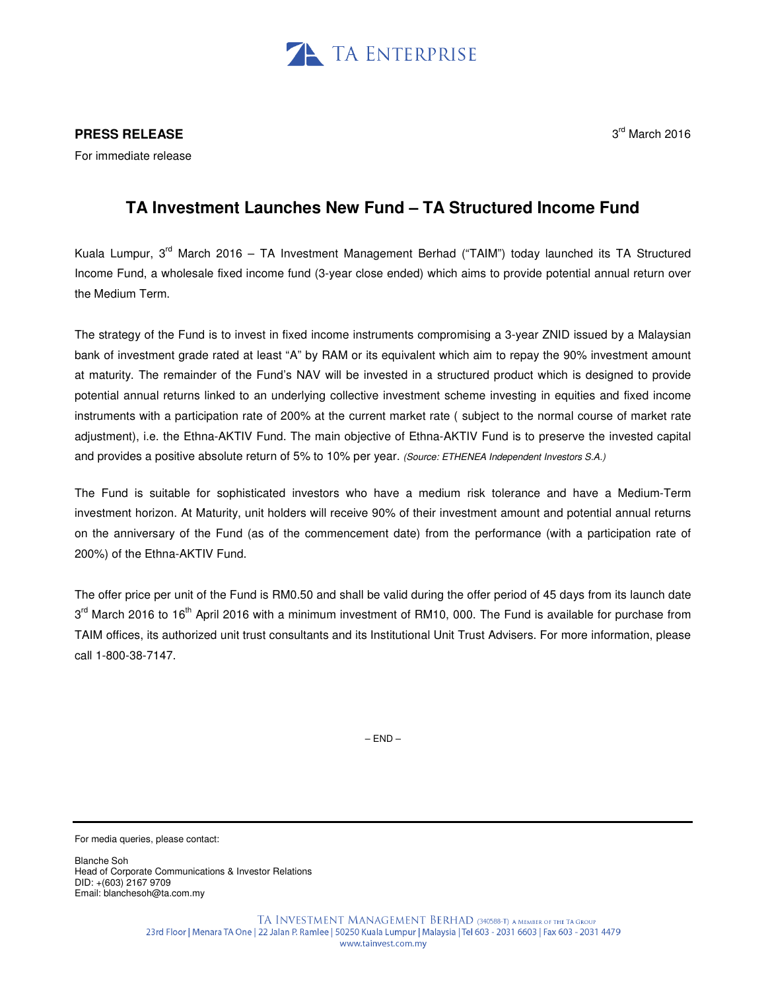

## **PRESS RELEASE**

For immediate release

## 3<sup>rd</sup> March 2016

## **TA Investment Launches New Fund – TA Structured Income Fund**

Kuala Lumpur, 3rd March 2016 – TA Investment Management Berhad ("TAIM") today launched its TA Structured Income Fund, a wholesale fixed income fund (3-year close ended) which aims to provide potential annual return over the Medium Term.

The strategy of the Fund is to invest in fixed income instruments compromising a 3-year ZNID issued by a Malaysian bank of investment grade rated at least "A" by RAM or its equivalent which aim to repay the 90% investment amount at maturity. The remainder of the Fund's NAV will be invested in a structured product which is designed to provide potential annual returns linked to an underlying collective investment scheme investing in equities and fixed income instruments with a participation rate of 200% at the current market rate ( subject to the normal course of market rate adjustment), i.e. the Ethna-AKTIV Fund. The main objective of Ethna-AKTIV Fund is to preserve the invested capital and provides a positive absolute return of 5% to 10% per year. (Source: ETHENEA Independent Investors S.A.)

The Fund is suitable for sophisticated investors who have a medium risk tolerance and have a Medium-Term investment horizon. At Maturity, unit holders will receive 90% of their investment amount and potential annual returns on the anniversary of the Fund (as of the commencement date) from the performance (with a participation rate of 200%) of the Ethna-AKTIV Fund.

The offer price per unit of the Fund is RM0.50 and shall be valid during the offer period of 45 days from its launch date 3<sup>rd</sup> March 2016 to 16<sup>th</sup> April 2016 with a minimum investment of RM10, 000. The Fund is available for purchase from TAIM offices, its authorized unit trust consultants and its Institutional Unit Trust Advisers. For more information, please call 1-800-38-7147.

 $-$  FND $-$ 

For media queries, please contact:

Blanche Soh Head of Corporate Communications & Investor Relations DID: +(603) 2167 9709 Email: blanchesoh@ta.com.my